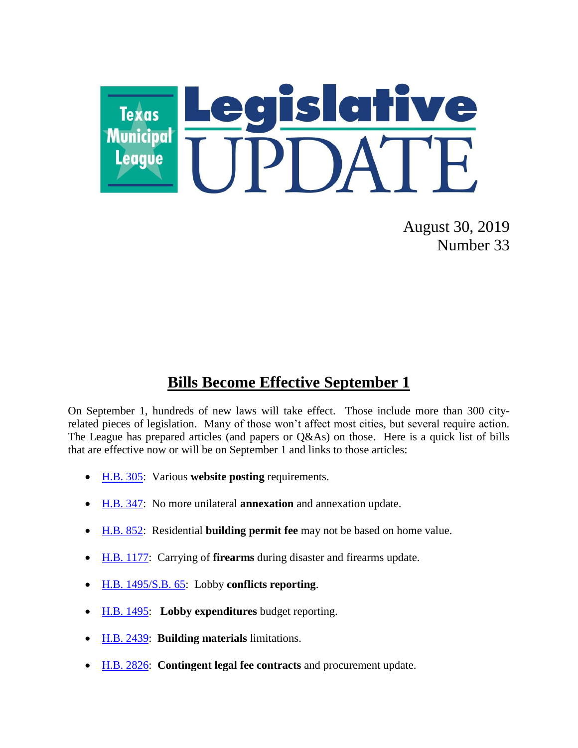

August 30, 2019 Number 33

## **Bills Become Effective September 1**

On September 1, hundreds of new laws will take effect. Those include more than 300 cityrelated pieces of legislation. Many of those won't affect most cities, but several require action. The League has prepared articles (and papers or Q&As) on those. Here is a quick list of bills that are effective now or will be on September 1 and links to those articles:

- [H.B. 305:](https://www.tml.org/609/July-19-2019-Number-29#website) Various **website posting** requirements.
- [H.B. 347:](https://www.tml.org/609/July-19-2019-Number-29#annexation) No more unilateral **annexation** and annexation update.
- [H.B. 852:](https://tx-texasmunicipalleague.civicplus.com/600/May-31-2019-Number-22#buildingpermits) Residential **building permit fee** may not be based on home value.
- [H.B. 1177:](https://www.tml.org/612/August-16-2019-Number-31#firearms) Carrying of **firearms** during disaster and firearms update.
- [H.B. 1495/S.B. 65:](https://tx-texasmunicipalleague.civicplus.com/602/June-14-2019-Number-24#contractsdisclosure) Lobby **conflicts reporting**.
- [H.B. 1495:](https://www.tml.org/608/July-12-2019-Number-28#lobbyreporting) **Lobby expenditures** budget reporting.
- [H.B. 2439:](https://www.tml.org/611/July-26-2019-Number-30#buildingmaterials) **Building materials** limitations.
- [H.B. 2826:](https://www.tml.org/612/August-16-2019-Number-31#procurement) **Contingent legal fee contracts** and procurement update.